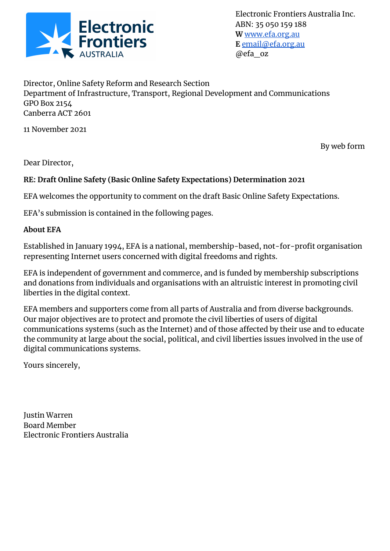

Electronic Frontiers Australia Inc. ABN: 35 050 159 188 **W** [www.efa.org.au](http://www.efa.org.au) **E** [email@efa.org.au](mailto:email@efa.org.au) @efa\_oz

Director, Online Safety Reform and Research Section Department of Infrastructure, Transport, Regional Development and Communications GPO Box 2154 Canberra ACT 2601

11 November 2021

By web form

Dear Director,

#### **RE: Draft Online Safety (Basic Online Safety Expectations) Determination 2021**

EFA welcomes the opportunity to comment on the draft Basic Online Safety Expectations.

EFA's submission is contained in the following pages.

#### **About EFA**

Established in January 1994, EFA is a national, membership-based, not-for-profit organisation representing Internet users concerned with digital freedoms and rights.

EFA is independent of government and commerce, and is funded by membership subscriptions and donations from individuals and organisations with an altruistic interest in promoting civil liberties in the digital context.

EFA members and supporters come from all parts of Australia and from diverse backgrounds. Our major objectives are to protect and promote the civil liberties of users of digital communications systems (such as the Internet) and of those affected by their use and to educate the community at large about the social, political, and civil liberties issues involved in the use of digital communications systems.

Yours sincerely,

Justin Warren Board Member Electronic Frontiers Australia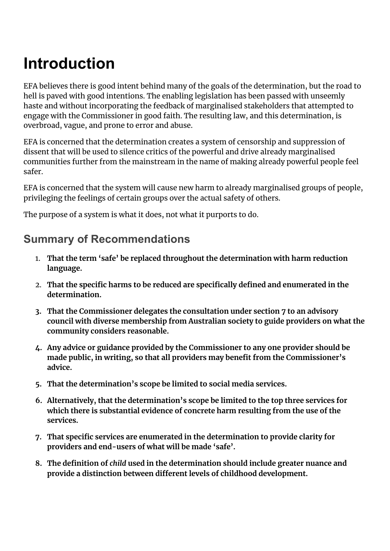# **Introduction**

EFA believes there is good intent behind many of the goals of the determination, but the road to hell is paved with good intentions. The enabling legislation has been passed with unseemly haste and without incorporating the feedback of marginalised stakeholders that attempted to engage with the Commissioner in good faith. The resulting law, and this determination, is overbroad, vague, and prone to error and abuse.

EFA is concerned that the determination creates a system of censorship and suppression of dissent that will be used to silence critics of the powerful and drive already marginalised communities further from the mainstream in the name of making already powerful people feel safer.

EFA is concerned that the system will cause new harm to already marginalised groups of people, privileging the feelings of certain groups over the actual safety of others.

The purpose of a system is what it does, not what it purports to do.

#### **Summary of Recommendations**

- 1. **That the term 'safe' be replaced throughout the determination with harm reduction language.**
- 2. **That the specific harms to be reduced are specifically defined and enumerated in the determination.**
- **3. That the Commissioner delegates the consultation under section 7 to an advisory council with diverse membership from Australian society to guide providers on what the community considers reasonable.**
- **4. Any advice or guidance provided by the Commissioner to any one provider should be made public, in writing, so that all providers may benefit from the Commissioner's advice.**
- **5. That the determination's scope be limited to social media services.**
- **6. Alternatively, that the determination's scope be limited to the top three services for which there is substantial evidence of concrete harm resulting from the use of the services.**
- **7. That specific services are enumerated in the determination to provide clarity for providers and end-users of what will be made 'safe'.**
- **8. The definition of** *child* **used in the determination should include greater nuance and provide a distinction between different levels of childhood development.**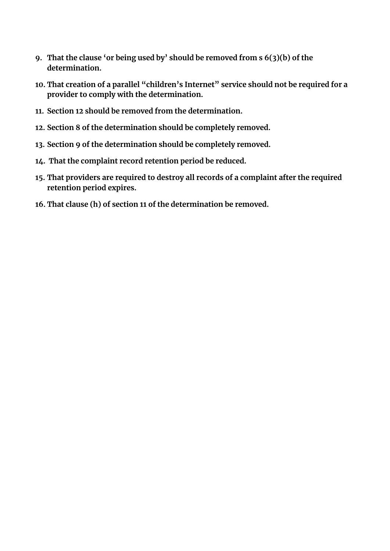- **9. That the clause 'or being used by' should be removed from s 6(3)(b) of the determination.**
- **10. That creation of a parallel "children's Internet" service should not be required for a provider to comply with the determination.**
- **11. Section 12 should be removed from the determination.**
- **12. Section 8 of the determination should be completely removed.**
- **13. Section 9 of the determination should be completely removed.**
- **14. That the complaint record retention period be reduced.**
- **15. That providers are required to destroy all records of a complaint after the required retention period expires.**
- **16. That clause (h) of section 11 of the determination be removed.**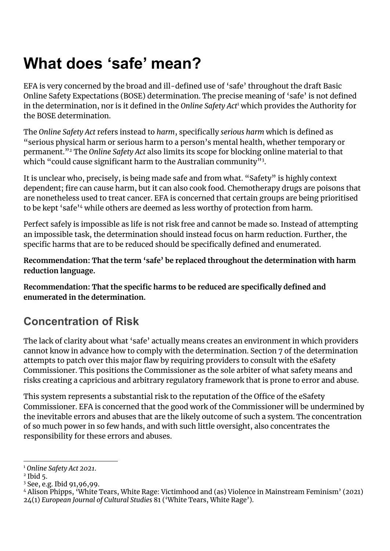## **What does 'safe' mean?**

EFA is very concerned by the broad and ill-defined use of 'safe' throughout the draft Basic Online Safety Expectations (BOSE) determination. The precise meaning of 'safe' is not defined in the determination, nor is it defined in the Online Safety Act<sup>1</sup> which provides the Authority for the BOSE determination.

The *Online Safety Act* refers instead to *harm*, specifically *serious harm* which is defined as "serious physical harm or serious harm to a person's mental health, whether temporary or permanent."<sup>2</sup> The Online Safety Act also limits its scope for blocking online material to that which "could cause significant harm to the Australian community" $^{\rm 3}.$ 

It is unclear who, precisely, is being made safe and from what. "Safety" is highly context dependent; fire can cause harm, but it can also cook food. Chemotherapy drugs are poisons that are nonetheless used to treat cancer. EFA is concerned that certain groups are being prioritised to be kept 'safe'<sup>4</sup> while others are deemed as less worthy of protection from harm.

Perfect safely is impossible as life is not risk free and cannot be made so. Instead of attempting an impossible task, the determination should instead focus on harm reduction. Further, the specific harms that are to be reduced should be specifically defined and enumerated.

**Recommendation: That the term 'safe' be replaced throughout the determination with harm reduction language.**

**Recommendation: That the specific harms to be reduced are specifically defined and enumerated in the determination.**

### **Concentration of Risk**

The lack of clarity about what 'safe' actually means creates an environment in which providers cannot know in advance how to comply with the determination. Section 7 of the determination attempts to patch over this major flaw by requiring providers to consult with the eSafety Commissioner. This positions the Commissioner as the sole arbiter of what safety means and risks creating a capricious and arbitrary regulatory framework that is prone to error and abuse.

This system represents a substantial risk to the reputation of the Office of the eSafety Commissioner. EFA is concerned that the good work of the Commissioner will be undermined by the inevitable errors and abuses that are the likely outcome of such a system. The concentration of so much power in so few hands, and with such little oversight, also concentrates the responsibility for these errors and abuses.

<sup>1</sup> *[Online](https://www.zotero.org/google-docs/?yeEiP0) Safety Act 2021*.

<sup>2</sup> [Ibid](https://www.zotero.org/google-docs/?yIkuDt) 5.

<sup>3</sup> See, e.g. Ibid [91,96,99.](https://www.zotero.org/google-docs/?9G1Mqp)

<sup>4</sup> Alison Phipps, 'White Tears, White Rage: Victimhood and (as) Violence in [Mainstream](https://www.zotero.org/google-docs/?oZjyj6) Feminism' (2021) 24(1) *[European](https://www.zotero.org/google-docs/?oZjyj6) Journal of Cultural Studies* 81 ('White Tears, White Rage').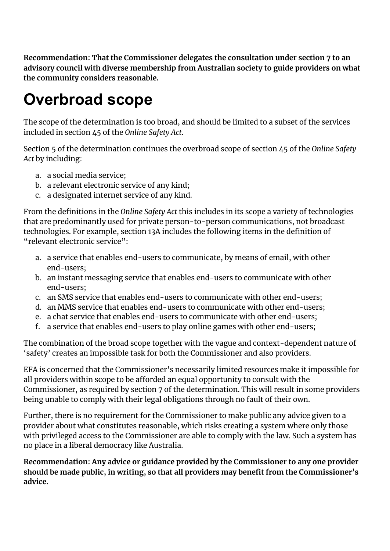**Recommendation: That the Commissioner delegates the consultation under section 7 to an advisory council with diverse membership from Australian society to guide providers on what the community considers reasonable.**

# **Overbroad scope**

The scope of the determination is too broad, and should be limited to a subset of the services included in section 45 of the *Online Safety Act*.

Section 5 of the determination continues the overbroad scope of section 45 of the *Online Safety Act* by including:

- a. a social media service;
- b. a relevant electronic service of any kind;
- c. a designated internet service of any kind.

From the definitions in the *Online Safety Act* this includes in its scope a variety of technologies that are predominantly used for private person-to-person communications, not broadcast technologies. For example, section 13A includes the following items in the definition of "relevant electronic service":

- a. a service that enables end-users to communicate, by means of email, with other end-users;
- b. an instant messaging service that enables end-users to communicate with other end-users;
- c. an SMS service that enables end-users to communicate with other end-users;
- d. an MMS service that enables end-users to communicate with other end-users;
- e. a chat service that enables end-users to communicate with other end-users;
- f. a service that enables end-users to play online games with other end-users;

The combination of the broad scope together with the vague and context-dependent nature of 'safety' creates an impossible task for both the Commissioner and also providers.

EFA is concerned that the Commissioner's necessarily limited resources make it impossible for all providers within scope to be afforded an equal opportunity to consult with the Commissioner, as required by section 7 of the determination. This will result in some providers being unable to comply with their legal obligations through no fault of their own.

Further, there is no requirement for the Commissioner to make public any advice given to a provider about what constitutes reasonable, which risks creating a system where only those with privileged access to the Commissioner are able to comply with the law. Such a system has no place in a liberal democracy like Australia.

**Recommendation: Any advice or guidance provided by the Commissioner to any one provider should be made public, in writing, so that all providers may benefit from the Commissioner's advice.**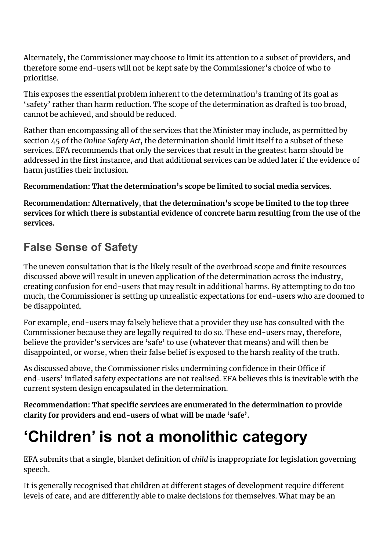Alternately, the Commissioner may choose to limit its attention to a subset of providers, and therefore some end-users will not be kept safe by the Commissioner's choice of who to prioritise.

This exposes the essential problem inherent to the determination's framing of its goal as 'safety' rather than harm reduction. The scope of the determination as drafted is too broad, cannot be achieved, and should be reduced.

Rather than encompassing all of the services that the Minister may include, as permitted by section 45 of the *Online Safety Act*, the determination should limit itself to a subset of these services. EFA recommends that only the services that result in the greatest harm should be addressed in the first instance, and that additional services can be added later if the evidence of harm justifies their inclusion.

**Recommendation: That the determination's scope be limited to social media services.**

**Recommendation: Alternatively, that the determination's scope be limited to the top three services for which there is substantial evidence of concrete harm resulting from the use of the services.**

### **False Sense of Safety**

The uneven consultation that is the likely result of the overbroad scope and finite resources discussed above will result in uneven application of the determination across the industry, creating confusion for end-users that may result in additional harms. By attempting to do too much, the Commissioner is setting up unrealistic expectations for end-users who are doomed to be disappointed.

For example, end-users may falsely believe that a provider they use has consulted with the Commissioner because they are legally required to do so. These end-users may, therefore, believe the provider's services are 'safe' to use (whatever that means) and will then be disappointed, or worse, when their false belief is exposed to the harsh reality of the truth.

As discussed above, the Commissioner risks undermining confidence in their Office if end-users' inflated safety expectations are not realised. EFA believes this is inevitable with the current system design encapsulated in the determination.

**Recommendation: That specific services are enumerated in the determination to provide clarity for providers and end-users of what will be made 'safe'.**

# **'Children' is not a monolithic category**

EFA submits that a single, blanket definition of *child* is inappropriate for legislation governing speech.

It is generally recognised that children at different stages of development require different levels of care, and are differently able to make decisions for themselves. What may be an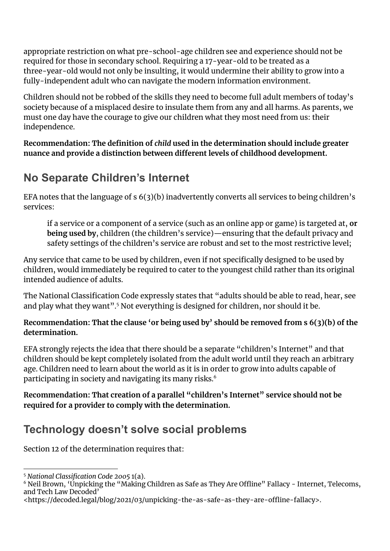appropriate restriction on what pre-school-age children see and experience should not be required for those in secondary school. Requiring a 17-year-old to be treated as a three-year-old would not only be insulting, it would undermine their ability to grow into a fully-independent adult who can navigate the modern information environment.

Children should not be robbed of the skills they need to become full adult members of today's society because of a misplaced desire to insulate them from any and all harms. As parents, we must one day have the courage to give our children what they most need from us: their independence.

**Recommendation: The definition of** *child* **used in the determination should include greater nuance and provide a distinction between different levels of childhood development.**

### **No Separate Children's Internet**

EFA notes that the language of s 6(3)(b) inadvertently converts all services to being children's services:

if a service or a component of a service (such as an online app or game) is targeted at, **or being used by**, children (the children's service)—ensuring that the default privacy and safety settings of the children's service are robust and set to the most restrictive level;

Any service that came to be used by children, even if not specifically designed to be used by children, would immediately be required to cater to the youngest child rather than its original intended audience of adults.

The National Classification Code expressly states that "adults should be able to read, hear, see and play what they want". $5$  Not everything is designed for children, nor should it be.

**Recommendation: That the clause 'or being used by' should be removed from s 6(3)(b) of the determination.**

EFA strongly rejects the idea that there should be a separate "children's Internet" and that children should be kept completely isolated from the adult world until they reach an arbitrary age. Children need to learn about the world as it is in order to grow into adults capable of participating in society and navigating its many risks. 6

**Recommendation: That creation of a parallel "children's Internet" service should not be required for a provider to comply with the determination.**

### **Technology doesn't solve social problems**

Section 12 of the determination requires that:

<sup>5</sup> *National [Classification](https://www.zotero.org/google-docs/?oSONnT) Code 2005* 1(a).

<sup>&</sup>lt;sup>6</sup> Neil Brown, ['Unpicking](https://www.zotero.org/google-docs/?KtHngY) the "Making Children as Safe as They Are Offline" Fallacy - Internet, Telecoms, and Tech Law [Decoded'](https://www.zotero.org/google-docs/?KtHngY)

[<sup>&</sup>lt;https://decoded.legal/blog/2021/03/unpicking-the-as-safe-as-they-are-offline-fallacy>.](https://www.zotero.org/google-docs/?KtHngY)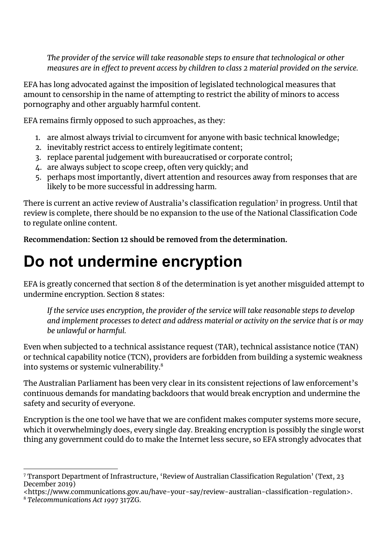*The provider of the service will take reasonable steps to ensure that technological or other measures are in effect to prevent access by children to class 2 material provided on the service.*

EFA has long advocated against the imposition of legislated technological measures that amount to censorship in the name of attempting to restrict the ability of minors to access pornography and other arguably harmful content.

EFA remains firmly opposed to such approaches, as they:

- 1. are almost always trivial to circumvent for anyone with basic technical knowledge;
- 2. inevitably restrict access to entirely legitimate content;
- 3. replace parental judgement with bureaucratised or corporate control;
- 4. are always subject to scope creep, often very quickly; and
- 5. perhaps most importantly, divert attention and resources away from responses that are likely to be more successful in addressing harm.

There is current an active review of Australia's classification regulation<sup>7</sup> in progress. Until that review is complete, there should be no expansion to the use of the National Classification Code to regulate online content.

**Recommendation: Section 12 should be removed from the determination.**

## **Do not undermine encryption**

EFA is greatly concerned that section 8 of the determination is yet another misguided attempt to undermine encryption. Section 8 states:

*If the service uses encryption, the provider of the service will take reasonable steps to develop and implement processes to detect and address material or activity on the service that is or may be unlawful or harmful.*

Even when subjected to a technical assistance request (TAR), technical assistance notice (TAN) or technical capability notice (TCN), providers are forbidden from building a systemic weakness into systems or systemic vulnerability. 8

The Australian Parliament has been very clear in its consistent rejections of law enforcement's continuous demands for mandating backdoors that would break encryption and undermine the safety and security of everyone.

Encryption is the one tool we have that we are confident makes computer systems more secure, which it overwhelmingly does, every single day. Breaking encryption is possibly the single worst thing any government could do to make the Internet less secure, so EFA strongly advocates that

<sup>7</sup> Transport Department of [Infrastructure,](https://www.zotero.org/google-docs/?h5TRBl) 'Review of Australian Classification Regulation' (Text, 23 [December](https://www.zotero.org/google-docs/?h5TRBl) 2019)

[<sup>&</sup>lt;https://www.communications.gov.au/have-your-say/review-australian-classification-regulation>.](https://www.zotero.org/google-docs/?h5TRBl)

<sup>8</sup> *[Telecommunications](https://www.zotero.org/google-docs/?2vcsW0) Act 1997* 317ZG.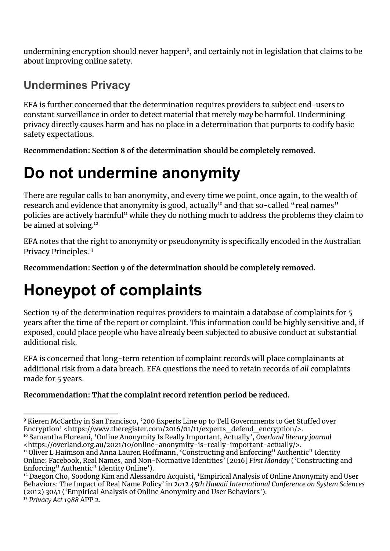undermining encryption should never happen $9$ , and certainly not in legislation that claims to be about improving online safety.

### **Undermines Privacy**

EFA is further concerned that the determination requires providers to subject end-users to constant surveillance in order to detect material that merely *may* be harmful. Undermining privacy directly causes harm and has no place in a determination that purports to codify basic safety expectations.

**Recommendation: Section 8 of the determination should be completely removed.**

# **Do not undermine anonymity**

There are regular calls to ban anonymity, and every time we point, once again, to the wealth of research and evidence that anonymity is good, actually10 and that so-called "real names" policies are actively harmful $^{\rm n}$  while they do nothing much to address the problems they claim to be aimed at solving. 12

EFA notes that the right to anonymity or pseudonymity is specifically encoded in the Australian Privacy Principles. 13

**Recommendation: Section 9 of the determination should be completely removed.**

# **Honeypot of complaints**

Section 19 of the determination requires providers to maintain a database of complaints for 5 years after the time of the report or complaint. This information could be highly sensitive and, if exposed, could place people who have already been subjected to abusive conduct at substantial additional risk.

EFA is concerned that long-term retention of complaint records will place complainants at additional risk from a data breach. EFA questions the need to retain records of *all* complaints made for 5 years.

#### **Recommendation: That the complaint record retention period be reduced.**

[<https://overland.org.au/2021/10/online-anonymity-is-really-important-actually/>.](https://www.zotero.org/google-docs/?5fgZvh)

<sup>10</sup> Samantha Floreani, 'Online [Anonymity](https://www.zotero.org/google-docs/?5fgZvh) Is Really Important, Actually', *Overland literary journal* <sup>9</sup> Kieren McCarthy in San Francisco, '200 Experts Line up to Tell [Governments](https://www.zotero.org/google-docs/?j1uo7M) to Get Stuffed over Encryption' [<https://www.theregister.com/2016/01/11/experts\\_defend\\_encryption/>.](https://www.zotero.org/google-docs/?j1uo7M)

<sup>&</sup>lt;sup>11</sup> Oliver L Haimson and Anna Lauren Hoffmann, ['Constructing](https://www.zotero.org/google-docs/?5LOUFN) and Enforcing" Authentic" Identity Online: Facebook, Real Names, and [Non-Normative](https://www.zotero.org/google-docs/?5LOUFN) Identities' [2016] *First Monday* ('Constructing and [Enforcing"](https://www.zotero.org/google-docs/?5LOUFN) Authentic" Identity Online').

<sup>13</sup> *[Privacy](https://www.zotero.org/google-docs/?CZku4X) Act 1988* APP 2. <sup>12</sup> Daegon Cho, Soodong Kim and Alessandro Acquisti, 'Empirical Analysis of Online [Anonymity](https://www.zotero.org/google-docs/?maT5MW) and User Behaviors: The Impact of Real Name Policy' in *2012 45th Hawaii [International](https://www.zotero.org/google-docs/?maT5MW) Conference on System Sciences* (2012) 3041 ('Empirical Analysis of Online Anonymity and User [Behaviors'\).](https://www.zotero.org/google-docs/?maT5MW)